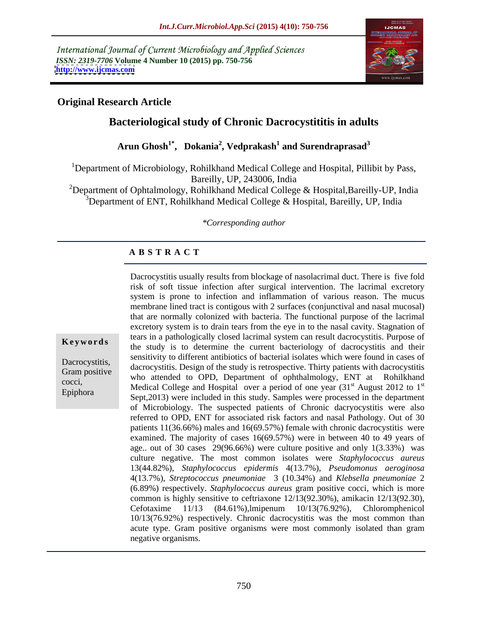International Journal of Current Microbiology and Applied Sciences *ISSN: 2319-7706* **Volume 4 Number 10 (2015) pp. 750-756 <http://www.ijcmas.com>**



st

# **Original Research Article**

Epiphora

# **Bacteriological study of Chronic Dacrocystititis in adults**

**Arun Ghosh1\* , Dokania<sup>2</sup> , Vedprakash<sup>1</sup> and Surendraprasad<sup>3</sup>**

1Department of Microbiology, Rohilkhand Medical College and Hospital, Pillibit by Pass, Bareilly, UP, 243006, India

<sup>2</sup>Department of Ophtalmology, Rohilkhand Medical College & Hospital, Bareilly-UP, India <sup>3</sup>Department of ENT, Rohilkhand Medical College & Hospital, Bareilly, UP, India

*\*Corresponding author*

## **A B S T R A C T**

membrane lined tract is contigous with 2 surfaces (conjunctival and nasal mucosal) that are normally colonized with bacteria. The functional purpose of the lacrimal excretory system is to drain tears from the eye in to the nasal cavity. Stagnation of tears in a pathologically closed lacrimal system can result dacrocystitis. Purpose of **Keywords** the study is to determine the current bacteriology of dacrocystitis and their sensitivity to different antibiotics of bacterial isolates which were found in cases of Dacrocystitis,<br>
dacrocystitis. Design of the study is retrospective. Thirty patients with dacrocystitis dacrocystitis Gram positive additiours who attended to OPD, Department of ophthalmology, ENT at Rohilkhand  $\frac{1}{2}$  cocci,<br>
Medical College and Hospital over a period of one year  $(31<sup>st</sup>$  August 2012 to 1<sup>st</sup>  $\rm ^{st}$  August 2012 to 1<sup>st</sup> Sept,2013) were included in this study. Samples were processed in the department of Microbiology. The suspected patients of Chronic dacryocystitis were also referred to OPD, ENT for associated risk factors and nasal Pathology. Out of 30 patients 11(36.66%) males and 16(69.57%) female with chronic dacrocystitis were examined. The majority of cases 16(69.57%) were in between 40 to 49 years of age.. out of 30 cases 29(96.66%) were culture positive and only 1(3.33%) was culture negative. The most common isolates were *Staphylococcus aureus* 13(44.82%), *Staphylococcus epidermis* 4(13.7%), *Pseudomonus aeroginosa* 4(13.7%), *Streptococcus pneumoniae* 3 (10.34%) and *Klebsella pneumoniae* 2 (6.89%) respectively. *Staphylococcus aureus* gram positive cocci, which is more common is highly sensitive to ceftriaxone 12/13(92.30%), amikacin 12/13(92.30), Cefotaxime 11/13 (84.61%),lmipenum 10/13(76.92%), Chloromphenicol 10/13(76.92%) respectively. Chronic dacrocystitis was the most common than acute type. Gram positive organisms were most commonly isolated than gram negative organisms.

Dacrocystitis usually results from blockage of nasolacrimal duct. There is five fold risk of soft tissue infection after surgical intervention. The lacrimal excretory system is prone to infection and inflammation of various reason. The mucus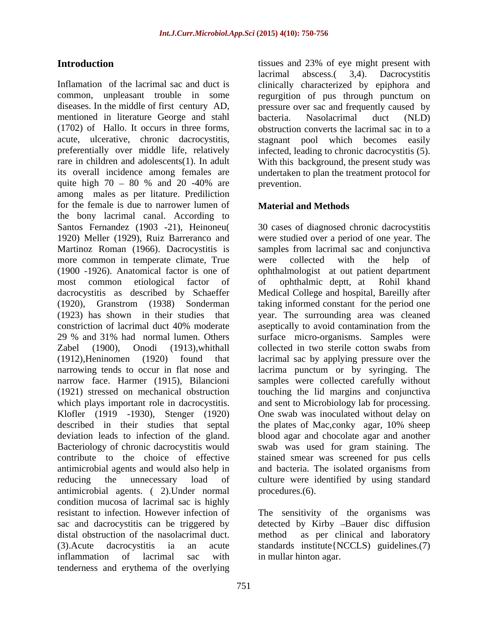common, unpleasant trouble in some regurgition of pus through punctum on diseases. In the middle of first century AD, pressure over sac and frequently caused by mentioned in literature George and stahl (1702) of Hallo. It occurs in three forms, acute obstruction converts the lacrimal sac in to a stagnant pool which becomes easily preferentially over middle life, relatively infected, leading to chronic dacrocystitis (5). rare in children and adolescents(1). In adult With this background, the present study was its overall incidence among females are undertaken to plan the treatment protocol for quite high  $70 - 80$  % and  $20 -40$ % are prevention. among males as per litature. Prediliction for the female is due to narrower lumen of the bony lacrimal canal. According to Santos Fernandez (1903 -21), Heinoneu( 1920) Meller (1929), Ruiz Barreranco and were studied over a period of one year. The Martinoz Roman (1966). Dacrocystitis is more common in temperate climate, True were collected with the help of (1900 -1926). Anatomical factor is one of ophthalmologist at out patient department most common etiological factor of dacrocystitis as described by Schaeffer Medical College and hospital, Bareilly after (1920), Granstrom (1938) Sonderman taking informed constant for the period one (1923) has shown in their studies that year. The surrounding area was cleaned constriction of lacrimal duct 40% moderate aseptically to avoid contamination from the 29 % and 31% had normal lumen. Others surface micro-organisms. Samples were Zabel (1900), Onodi (1913),whithall (1912),Heninomen (1920) found that lacrimal sac by applying pressure over the narrowing tends to occur in flat nose and lacrima punctum or by syringing. The narrow face. Harmer (1915), Bilancioni samples were collected carefully without (1921) stressed on mechanical obstruction touching the lid margins and conjunctiva which plays important role in dacrocystitis. and sent to Microbiology lab for processing. Klofler (1919 -1930), Stenger (1920) One swab was inoculated without delay on described in their studies that septal the plates of Mac,conky agar, 10% sheep deviation leads to infection of the gland. blood agar and chocolate agar and another Bacteriology of chronic dacrocystitis would swab was used for gram staining. The contribute to the choice of effective stained smear was screened for pus cells antimicrobial agents and would also help in and bacteria. The isolated organisms from reducing the unnecessary load of culture were identified by using standard antimicrobial agents. ( 2).Under normal condition mucosa of lacrimal sac is highly resistant to infection. However infection of The sensitivity of the organisms was sac and dacrocystitis can be triggered by detected by Kirby -Bauer disc diffusion distal obstruction of the nasolacrimal duct. method (3).Acute dacrocystitis ia an acute standards institute{NCCLS) guidelines.(7) inflammation of lacrimal sac with in mullar hinton agar. tenderness and erythema of the overlying

**Introduction issues and 23% of eye might present with** Inflamation of the lacrimal sac and duct is clinically characterized by epiphora and lacrimal abscess.( 3,4). Dacrocystitis bacteria. Nasolacrimal duct (NLD) obstruction converts the lacrimal sac in to a stagnant pool which becomes easily infected, leading to chronic dacrocystitis (5). With this background, the present study was prevention.

## **Material and Methods**

30 cases of diagnosed chronic dacrocystitis samples from lacrimal sac and conjunctiva were collected with the help of of ophthalmic deptt, at Rohil khand collected in two sterile cotton swabs from procedures.(6).

as per clinical and laboratory in mullar hinton agar.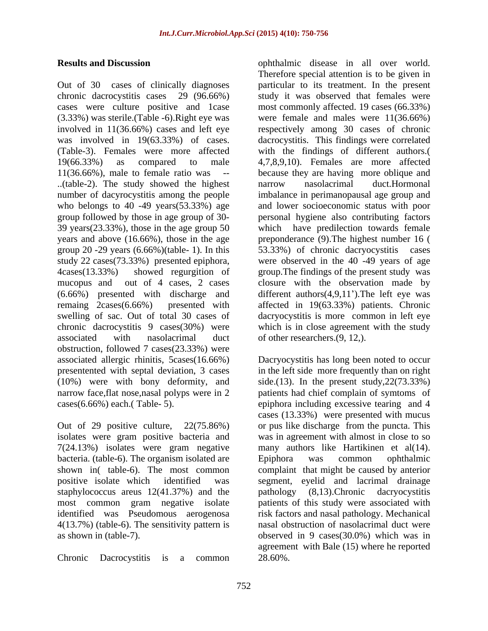(3.33%) was sterile.(Table -6).Right eye was (Table-3). Females were more affected  $19(66.33\%)$  as compared to male  $4,7,8,9,10$ . Females are more affected ..(table-2). The study showed the highest number of dacyrocystitis among the people group 20 -29 years  $(6.66\%)$  (table- 1). In this  $53.33\%)$  of chronic dacryocystitis cases associated with nasolacrimal duct of other researchers. (9, 12,). obstruction, followed 7 cases(23.33%) were associated allergic rhinitis, 5cases(16.66%) Dacryocystitis has long been noted to occur presentented with septal deviation, 3 cases in the left side more frequently than on right (10%) were with bony deformity, and side.(13). In the present study,22(73.33%) narrow face,flat nose,nasal polyps were in 2 patients had chief complain of symtoms of cases(6.66%) each.( Table- 5). epiphora including excessive tearing and 4

Out of 29 positive culture, 22(75.86%) or pus like discharge from the puncta. This isolates were gram positive bacteria and was in agreement with almost in close to so 7(24.13%) isolates were gram negative many authors like Hartikinen et al(14). bacteria. (table-6). The organism isolated are <br> Epiphora was common ophthalmic shown in( table-6). The most common complaint that might be caused by anterior positive isolate which identified was segment, eyelid and lacrimal drainage staphylococcus areus 12(41.37%) and the pathology (8,13). Chronic dacryocystitis most common gram negative isolate patients of this study were associated with identified was Pseudomous aerogenosa risk factors and nasal pathology. Mechanical 4(13.7%) (table-6). The sensitivity pattern is

Chronic Dacrocystitis is a common 28.60%.

**Results and Discussion** ophthalmic disease in all over world. Out of 30 cases of clinically diagnoses particular to its treatment. In the present chronic dacrocystitis cases 29 (96.66%) study it was observed that females were cases were culture positive and 1case most commonly affected. 19 cases (66.33%) involved in 11(36.66%) cases and left eye respectively among 30 cases of chronic was involved in 19(63.33%) of cases. dacrocystitis. This findings were correlated 11(36.66%), male to female ratio was -- because they are having more oblique and who belongs to 40 -49 years(53.33%) age and lower socioeconomic status with poor group followed by those in age group of 30- personal hygiene also contributing factors 39 years(23.33%), those in the age group 50 which have predilection towards female years and above (16.66%), those in the age preponderance (9).The highest number 16 ( study 22 cases(73.33%) presented epiphora, were observed in the 40 -49 years of age 4cases(13.33%) showed regurgition of group.The findings of the present study was mucopus and out of 4 cases, 2 cases closure with the observation made by  $(6.66%)$  presented with discharge and different authors $(4,9,11')$ . The left eye was remaing 2cases(6.66%) presented with affected in 19(63.33%) patients. Chronic swelling of sac. Out of total 30 cases of dacryocystitis is more common in left eye chronic dacrocystitis 9 cases(30%) were which is in close agreement with the study Therefore special attention is to be given in were female and males were 11(36.66%) with the findings of different authors.( 4,7,8,9,10). Females are more affected narrow nasolacrimal duct.Hormonal imbalance in perimanopausal age group and 53.33%) of chronic dacryocystitis

as shown in (table-7). observed in 9 cases(30.0%) which was in of other researchers.(9, 12,).<br>Dacryocystitis has long been noted to occur cases (13.33%) were presented with mucus many authors like Hartikinen et al(14). Epiphora was common ophthalmic pathology (8,13).Chronic dacryocystitis nasal obstruction of nasolacrimal duct were agreement with Bale (15) where he reported 28.60%.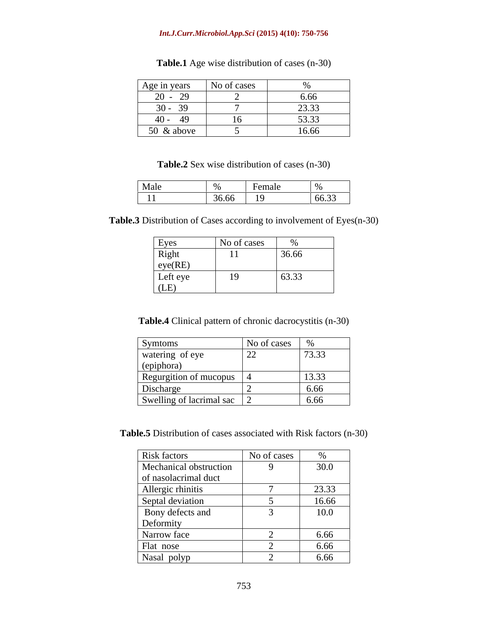### *Int.J.Curr.Microbiol.App.Sci* **(2015) 4(10): 750-756**

| Age in years No of cases   |               | $\sqrt{0}$ |
|----------------------------|---------------|------------|
| $20 - 29$                  |               | 6.66       |
| $20 \quad 20$<br>$30 - 39$ |               | 23.33      |
| $40 - 49$                  | $\sim$ $\sim$ | 53.33      |
| $50 \& above$              |               | 16.66      |

## **Table.1** Age wise distribution of cases (n-30)

## **Table.2** Sex wise distribution of cases (n-30)

 $\mathsf{l}$ 

**Table.3** Distribution of Cases according to involvement of Eyes(n-30)

| Eyes     | No of cases            | $\sqrt{2}$ |
|----------|------------------------|------------|
| Right    | $-4.4$<br>$\mathbf{1}$ | 36.66      |
| eye(RE)  |                        |            |
| Left eye | 19                     | 63.33      |
| (LE)     |                        |            |

**Table.4** Clinical pattern of chronic dacrocystitis (n-30)

| Symtoms                    | No of cases   |                 |
|----------------------------|---------------|-----------------|
| watering of eye            | <sup>22</sup> | 73.33           |
| (epiphora)                 |               |                 |
| Regurgition of mucopus     |               | 13.33           |
| Discharge                  |               | $C$ $C$<br>v.vv |
| Swelling of lacrimal sac 2 |               | 6.66            |

**Table.5** Distribution of cases associated with Risk factors (n-30)

| Risk factors                                              | No of cases | $\sqrt{2}$ |
|-----------------------------------------------------------|-------------|------------|
| Mechanical obstruction                                    |             | 30.0       |
| of nasolacrimal duct                                      |             |            |
|                                                           |             | 23.33      |
| Allergic rhinitis<br>Septal deviation<br>Bony defects and |             | 16.66      |
|                                                           |             | 10.0       |
| Deformity                                                 |             |            |
| Narrow face                                               |             | 6.66       |
| Flat nose                                                 |             | 6.66       |
| Nasal polyp                                               |             | 6.66       |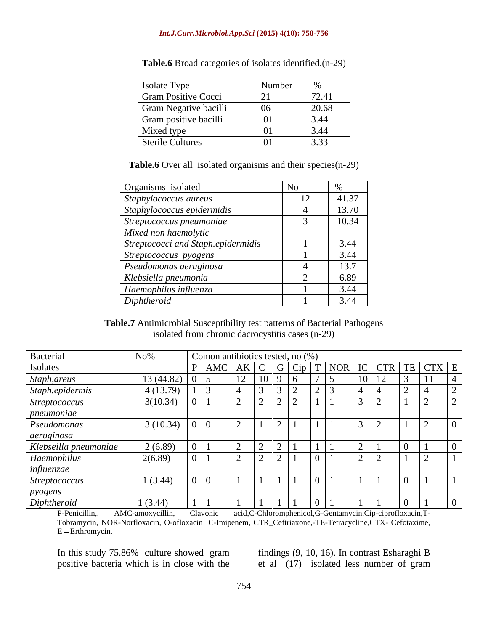### *Int.J.Curr.Microbiol.App.Sci* **(2015) 4(10): 750-756**

| Isolate Type               | Number                        | $\sim$           |
|----------------------------|-------------------------------|------------------|
| <b>Gram Positive Cocci</b> | $\sqrt{21}$<br>$\overline{a}$ | 70.41<br>/ ∠.+ 1 |
| Gram Negative bacilli      | $ 06\rangle$                  | 20.68            |
| Gram positive bacilli      | 01                            | 3.44             |
| Mixed type                 |                               | 3.44             |
| Sterile Cultures           | $\mathbf{u}$                  | 3.33             |

**Table.6** Broad categories of isolates identified.(n-29)

Table.6 Over all isolated organisms and their species(n-29)

| Organisms isolated                 |       |
|------------------------------------|-------|
| Staphylococcus aureus              | 41.37 |
| Staphylococcus epidermidis         | 13.70 |
| Streptococcus pneumoniae           | 10.34 |
| Mixed non haemolytic               |       |
| Streptococci and Staph.epidermidis | 3.44  |
| Streptococcus pyogens              | 3.44  |
| Pseudomonas aeruginosa             | 13.7  |
| Klebsiella pneumonia               | 5.89  |
| Haemophilus influenza              | 3.44  |
| Diphtheroid                        | 3.44  |

**Table.7** Antimicrobial Susceptibility test patterns of Bacterial Pathogens isolated from chronic dacrocystitis cases (n-29)

| Bacterial             | N <sub>0</sub> % | Comon antibiotics tested, no (%) |                          |                                                                                                      |  |                          |  |
|-----------------------|------------------|----------------------------------|--------------------------|------------------------------------------------------------------------------------------------------|--|--------------------------|--|
| Isolates              |                  | $\vert$ AMC                      |                          | $\vert AK \vert C \vert G \vert Cip \vert T \vert NOR \vert IC \vert CTR \vert TE \vert CTX \vert E$ |  |                          |  |
| Staph, areus          | 13 (44.82)       |                                  |                          |                                                                                                      |  |                          |  |
| Staph.epidermis       | 4(13.79)         |                                  |                          |                                                                                                      |  |                          |  |
| Streptococcus         | 3(10.34)         | $U$                              |                          | $\sqrt{2}$<br>$\sqrt{2}$ $\sqrt{2}$ $\sqrt{2}$                                                       |  |                          |  |
| <i>pneumoniae</i>     |                  |                                  |                          |                                                                                                      |  |                          |  |
| Pseudomonas           | 3(10.34)         | $\cup$ $\cup$                    | ∼                        | $\overline{a}$                                                                                       |  |                          |  |
| aeruginosa            |                  |                                  |                          |                                                                                                      |  |                          |  |
| Klebseilla pneumoniae | 2(6.89)          |                                  |                          |                                                                                                      |  |                          |  |
| Haemophilus           | 2(6.89)          |                                  | $\overline{\phantom{0}}$ | $\sqrt{2}$<br>$\sqrt{2}$                                                                             |  | $\overline{\phantom{0}}$ |  |
| influenzae            |                  |                                  |                          |                                                                                                      |  |                          |  |
| $\vert$ Streptococcus | 1(3.44)          |                                  |                          |                                                                                                      |  |                          |  |
| pyogens               |                  |                                  |                          |                                                                                                      |  |                          |  |
| Diphtheroid           | 1(3.44)          |                                  |                          |                                                                                                      |  |                          |  |

P-Penicillin,, AMC-amoxycillin, Clavonic acid,C-Chloromphenicol,G-Gentamycin,Cip-ciprofloxacin,T- Tobramycin, NOR-Norfloxacin, O-ofloxacin IC-Imipenem, CTR\_Ceftriaxone,-TE-Tetracycline,CTX- Cefotaxime, E - Erthromycin.

In this study 75.86% culture showed gram

positive bacteria which is in close with the et al (17) isolated less number of gram findings (9, 10, 16). In contrast Esharaghi B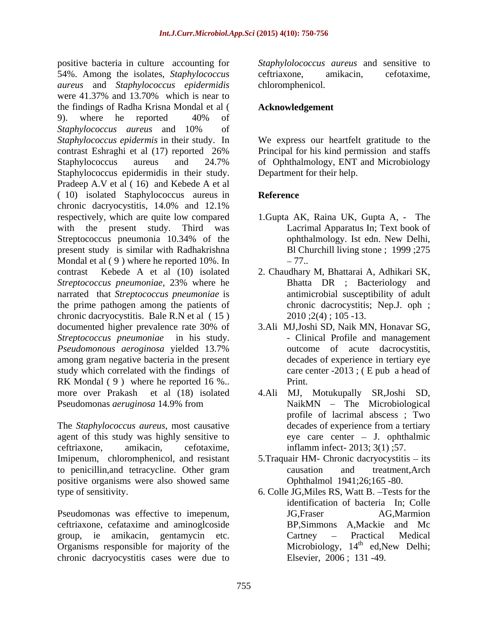positive bacteria in culture accounting for 54%. Among the isolates, *Staphylococcus aureus* and *Staphylococcus epidermidis* were 41.37% and 13.70% which is near to the findings of Radha Krisna Mondal et al ( 9). where he reported 40% of *Staphylococcus aureus* and 10% of *Staphylococcus epidermis* in their study. In We express our heartfelt gratitude to the contrast Eshraghi et al (17) reported 26% Staphylococcus aureus and 24.7% of Ophthalmology, ENT and Microbiology Staphylococcus epidermidis in their study. Pradeep A.V et al ( 16) and Kebede A et al ( 10) isolated Staphylococcus aureus in chronic dacryocystitis, 14.0% and 12.1% respectively, which are quite low compared with the present study. Third was Lacrimal Apparatus In; Text book of Streptococcus pneumonia 10.34% of the streptococcus pneumonia 10.34% of the streptococcus pneumonia 10.34% of the present study is similar with Radhakrishna Mondal et al  $(9)$  where he reported 10%. In  $-77$ . contrast Kebede A et al (10) isolated 2. Chaudhary M, Bhattarai A, Adhikari SK, *Streptococcus pneumoniae*, 23% where he narrated that *Streptococcus pneumoniae* is the prime pathogen among the patients of chronic dacryocystitis. Bale R.N et al ( 15 ) documented higher prevalence rate 30% of *Streptococcus pneumoniae* in his study.  $\qquad \qquad$  - Clinical Profile and management *Pseudomonous aeroginosa* yielded 13.7% among gram negative bacteria in the present study which correlated with the findings of RK Mondal (9) where he reported 16 %.. Print. more over Prakash et al (18) isolated 4.Ali MJ, Motukupally SR,Joshi SD, Pseudomonas *aeruginosa* 14.9% from

The *Staphylococcus aureus*, most causative agent of this study was highly sensitive to Imipenum, chloromphenicol, and resistant 5. Traquair HM- Chronic dacryocystitis – its to penicillin,and tetracycline. Other gram positive organisms were also showed same type of sensitivity. 6. Colle JG,Miles RS, Watt B. Tests for the

Pseudomonas was effective to imepenum, ceftriaxone, cefataxime and aminoglcoside group, ie amikacin, gentamycin etc. Organisms responsible for majority of the chronic dacryocystitis cases were due to

*Staphylolococcus aureus* and sensitive to ceftriaxone, amikacin, cefotaxime, chloromphenicol.

## **Acknowledgement**

Principal for his kind permission and staffs Department for their help.

## **Reference**

- 1.Gupta AK, Raina UK, Gupta A, The ophthalmology. Ist edn. New Delhi, Bl Churchill living stone ; 1999 ;275 77..
- Bhatta DR ; Bacteriology and antimicrobial susceptibility of adult chronic dacrocystitis; Nep.J. oph ; 2010 ;2(4) ; 105 -13.
- 3.Ali MJ,Joshi SD, Naik MN, Honavar SG, outcome of acute dacrocystitis, decades of experience in tertiary eye care center -2013 ; ( E pub a head of Print.
- ceftriaxone, amikacin, cefotaxime, inflamm infect- 2013; 3(1) ;57. NaikMN - The Microbiological profile of lacrimal abscess ; Two decades of experience from a tertiary eye care center J. ophthalmic
	- causation and treatment,Arch Ophthalmol 1941;26;165 -80.
	- identification of bacteria In; Colle JG,Fraser AG,Marmion BP,Simmons A,Mackie and Mc Cartney – Practical Medical Microbiology,  $14<sup>th</sup>$  ed, New Delhi;  $^{th}$  ad Naw Dalhi: ed,New Delhi; Elsevier, 2006 ; 131 -49.